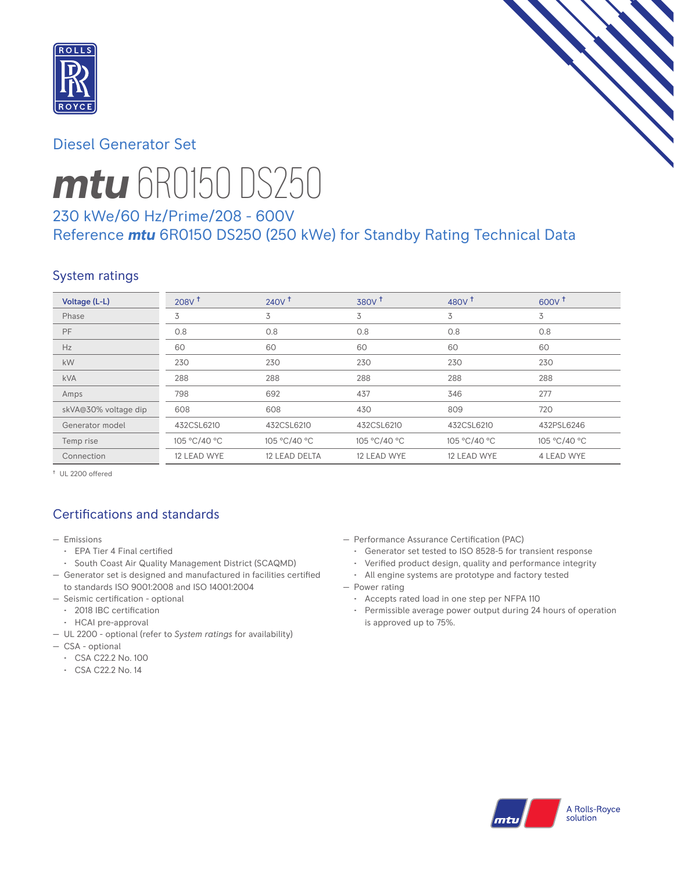

## Diesel Generator Set



# *mtu* 6R0150 DS250

# 230 kWe/60 Hz/Prime/208 - 600V Reference *mtu* 6R0150 DS250 (250 kWe) for Standby Rating Technical Data

# System ratings

| Voltage (L-L)        | 208V <sup>†</sup> | $240V^{\dagger}$ | 380V <sup>†</sup> | 480 $V†$     | $600V^{\dagger}$ |
|----------------------|-------------------|------------------|-------------------|--------------|------------------|
| Phase                | 3                 | 3                | 3                 | 3            | 3                |
| PF                   | 0.8               | 0.8              | 0.8               | 0.8          | 0.8              |
| Hz                   | 60                | 60               | 60                | 60           | 60               |
| kW                   | 230               | 230              | 230               | 230          | 230              |
| <b>kVA</b>           | 288               | 288              | 288               | 288          | 288              |
| Amps                 | 798               | 692              | 437               | 346          | 277              |
| skVA@30% voltage dip | 608               | 608              | 430               | 809          | 720              |
| Generator model      | 432CSL6210        | 432CSL6210       | 432CSL6210        | 432CSL6210   | 432PSL6246       |
| Temp rise            | 105 °C/40 °C      | 105 °C/40 °C     | 105 °C/40 °C      | 105 °C/40 °C | 105 °C/40 °C     |
| Connection           | 12 LEAD WYE       | 12 LEAD DELTA    | 12 LEAD WYE       | 12 LEAD WYE  | 4 LEAD WYE       |

† UL 2200 offered

# Certifications and standards

- Emissions
	- EPA Tier 4 Final certified
- South Coast Air Quality Management District (SCAQMD)
- Generator set is designed and manufactured in facilities certified to standards ISO 9001:2008 and ISO 14001:2004
- Seismic certification optional
- 2018 IBC certification
- HCAI pre-approval
- UL 2200 optional (refer to *System ratings* for availability)
- CSA optional
	- CSA C22.2 No. 100
	- CSA C22.2 No. 14
- Performance Assurance Certification (PAC)
	- Generator set tested to ISO 8528-5 for transient response
- Verified product design, quality and performance integrity
- All engine systems are prototype and factory tested
- Power rating
	- Accepts rated load in one step per NFPA 110
	- Permissible average power output during 24 hours of operation is approved up to 75%.

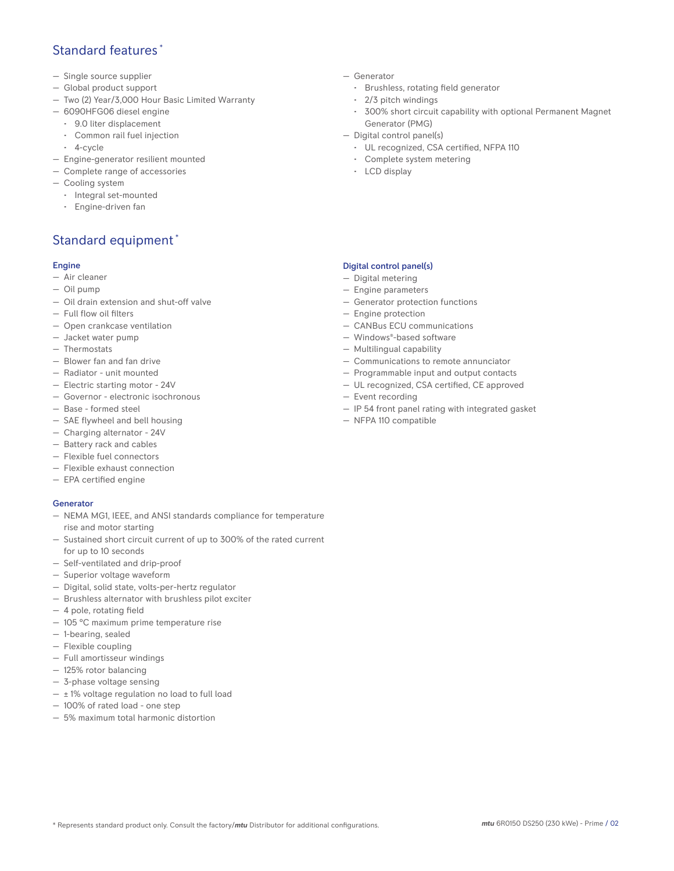## Standard features \*

- Single source supplier
- Global product support
- Two (2) Year/3,000 Hour Basic Limited Warranty
- 6090HFG06 diesel engine
	- 9.0 liter displacement
	- Common rail fuel injection
	- 4-cycle
- Engine-generator resilient mounted
- Complete range of accessories
- Cooling system
- Integral set-mounted
	- Engine-driven fan

# Standard equipment \*

#### Engine

- Air cleaner
- Oil pump
- Oil drain extension and shut-off valve
- Full flow oil filters
- Open crankcase ventilation
- Jacket water pump
- Thermostats
- Blower fan and fan drive
- Radiator unit mounted
- Electric starting motor 24V
- Governor electronic isochronous
- Base formed steel
- SAE flywheel and bell housing
- Charging alternator 24V
- Battery rack and cables
- Flexible fuel connectors
- Flexible exhaust connection
- EPA certified engine

#### **Generator**

- NEMA MG1, IEEE, and ANSI standards compliance for temperature rise and motor starting
- Sustained short circuit current of up to 300% of the rated current for up to 10 seconds
- Self-ventilated and drip-proof
- Superior voltage waveform
- Digital, solid state, volts-per-hertz regulator
- Brushless alternator with brushless pilot exciter
- 4 pole, rotating field
- 105 °C maximum prime temperature rise
- 1-bearing, sealed
- Flexible coupling
- Full amortisseur windings
- 125% rotor balancing
- 3-phase voltage sensing
- $\pm$  1% voltage regulation no load to full load
- 100% of rated load one step
- 5% maximum total harmonic distortion
- Generator
	- Brushless, rotating field generator
	- 2/3 pitch windings
	- 300% short circuit capability with optional Permanent Magnet Generator (PMG)
- Digital control panel(s)
	- UL recognized, CSA certified, NFPA 110
	- Complete system metering
	- LCD display

### Digital control panel(s)

- Digital metering
- Engine parameters
- Generator protection functions
- Engine protection
- CANBus ECU communications
- Windows®-based software
- Multilingual capability
- Communications to remote annunciator
- Programmable input and output contacts
- UL recognized, CSA certified, CE approved
- Event recording
- IP 54 front panel rating with integrated gasket
- NFPA 110 compatible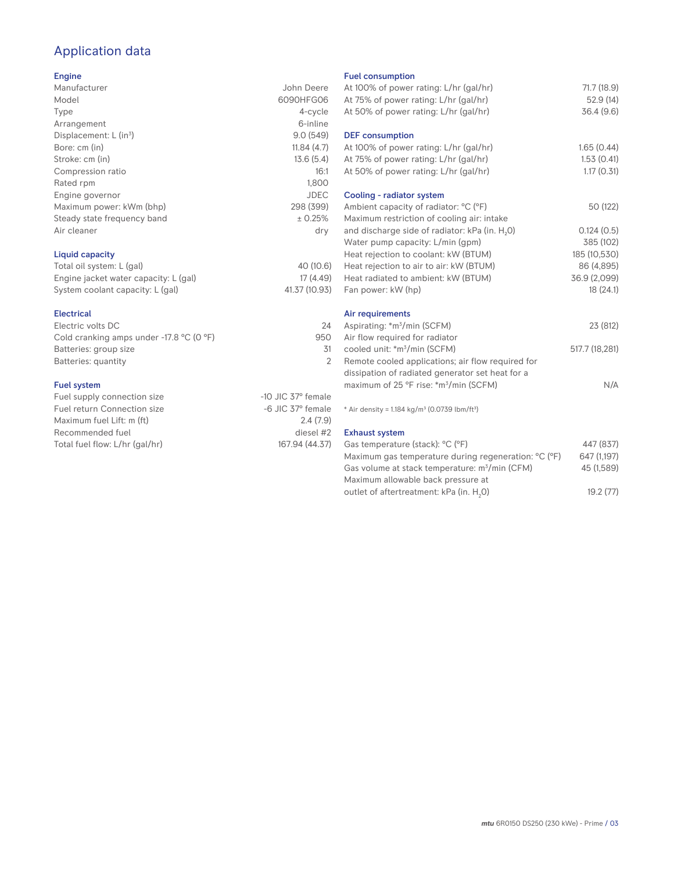# Application data

#### Engine

| Manufacturer                         | John Deere  |
|--------------------------------------|-------------|
| Model                                | 6090HFG06   |
| Type                                 | 4-cycle     |
| Arrangement                          | 6-inline    |
| Displacement: $L$ (in <sup>3</sup> ) | 9.0(549)    |
| Bore: cm (in)                        | 11.84(4.7)  |
| Stroke: cm (in)                      | 13.6(5.4)   |
| Compression ratio                    | 16:1        |
| Rated rpm                            | 1.800       |
| Engine governor                      | <b>JDEC</b> |
| Maximum power: kWm (bhp)             | 298 (399)   |
| Steady state frequency band          | ± 0.25%     |
| Air cleaner                          | dry         |
|                                      |             |
|                                      |             |

## Liquid capacity

| Total oil system: L (gal)             | 40 (10.6)     |
|---------------------------------------|---------------|
| Engine jacket water capacity: L (gal) | 17(4.49)      |
| System coolant capacity: L (gal)      | 41.37 (10.93) |

#### Electrical

| Electric volts DC                                            | 24  |
|--------------------------------------------------------------|-----|
| Cold cranking amps under -17.8 $^{\circ}$ C (O $^{\circ}$ F) | 950 |
| Batteries: group size                                        | 31  |
| Batteries: quantity                                          |     |
|                                                              |     |

#### Fuel system

| Fuel supply connection size    | $-10$ JIC 37 $\degree$ female |
|--------------------------------|-------------------------------|
| Fuel return Connection size    | $-6$ JIC 37 $\degree$ female  |
| Maximum fuel Lift: m (ft)      | 2.4(7.9)                      |
| Recommended fuel               | diesel #2                     |
| Total fuel flow: L/hr (gal/hr) | 167.94 (44.37)                |
|                                |                               |

#### Fuel consumption

| At 100% of power rating: L/hr (gal/hr)<br>At 75% of power rating: L/hr (gal/hr)<br>At 50% of power rating: L/hr (gal/hr) | 71.7 (18.9)<br>52.9 (14)<br>36.4(9.6) |
|--------------------------------------------------------------------------------------------------------------------------|---------------------------------------|
| <b>DEF</b> consumption<br>At 100% of power rating: L/hr (gal/hr)<br>At 75% of power rating: L/hr (gal/hr)                | 1.65(0.44)<br>1.53(0.41)              |
| At 50% of power rating: L/hr (gal/hr)                                                                                    | 1.17(0.31)                            |
| Cooling - radiator system                                                                                                |                                       |
| Ambient capacity of radiator: °C (°F)<br>Maximum restriction of cooling air: intake                                      | 50 (122)                              |
| and discharge side of radiator: kPa (in. H <sub>2</sub> 0)                                                               | 0.124(0.5)                            |
| Water pump capacity: L/min (gpm)                                                                                         | 385 (102)                             |
| Heat rejection to coolant: kW (BTUM)                                                                                     | 185 (10,530)                          |
| Heat rejection to air to air: kW (BTUM)                                                                                  | 86 (4,895)                            |
| Heat radiated to ambient: kW (BTUM)                                                                                      | 36.9 (2,099)                          |
| Fan power: kW (hp)                                                                                                       | 18(24.1)                              |
| Air requirements                                                                                                         |                                       |
| Aspirating: *m <sup>3</sup> /min (SCFM)<br>Air flow required for radiator                                                | 23 (812)                              |
| cooled unit: *m <sup>3</sup> /min (SCFM)                                                                                 | 517.7 (18,281)                        |
| Remote cooled applications; air flow required for<br>dissipation of radiated generator set heat for a                    |                                       |
| maximum of 25 °F rise: *m <sup>3</sup> /min (SCFM)                                                                       | N/A                                   |
|                                                                                                                          |                                       |
| * Air density = $1.184$ kg/m <sup>3</sup> (0.0739 lbm/ft <sup>3</sup> )                                                  |                                       |
| <b>Exhaust system</b>                                                                                                    |                                       |
| Gas temperature (stack): °C (°F)                                                                                         | 447 (837)                             |
| Maximum gas temperature during regeneration: °C (°F)                                                                     | 647 (1,197)                           |
| Gas volume at stack temperature: m <sup>3</sup> /min (CFM)                                                               | 45 (1,589)                            |

outlet of aftertreatment: kPa (in.  $H_2$ 0) 0) 19.2 (77)

Maximum allowable back pressure at